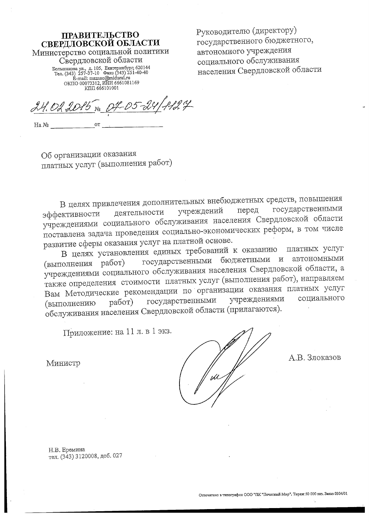# **ПРАВИТЕЛЬСТВО** СВЕРДЛОВСКОЙ ОБЛАСТИ Министерство социальной политики Свердловской области EXECUTION 120144<br>Ten. (343) 257-37-10  $\Phi$  are punishpps; 620144<br>Ten. (343) 257-37-10  $\Phi$  are (343) 251-40-40<br>E-mail: msznso@midural.ru<br>OKITO 00073312, MHH 6661081169<br>KIIII 666101001

Руководителю (директору) государственного бюджетного, автономного учреждения социального обслуживания населения Свердловской области

 $127$ 24.02.2015

 $O T$ Ha №

Об организации оказания платных услуг (выполнения работ)

В целях привлечения дополнительных внебюджетных средств, повышения государственными учреждений перед деятельности эффективности учреждениями социального обслуживания населения Свердловской области поставлена задача проведения социально-экономических реформ, в том числе развитие сферы оказания услуг на платной основе.

В целях установления единых требований к оказанию платных услуг государственными бюджетными и автономными (выполнения работ) учреждениями социального обслуживания населения Свердловской области, а также определения стоимости платных услуг (выполнения работ), направляем Вам Методические рекомендации по организации оказания платных услуг социального государственными учреждениями работ) (выполнению обслуживания населения Свердловской области (прилагаются).

Приложение: на 11 л. в 1 экз.

Министр

А.В. Злоказов

Н.В. Еремина тел. (343) 3120008, доб. 027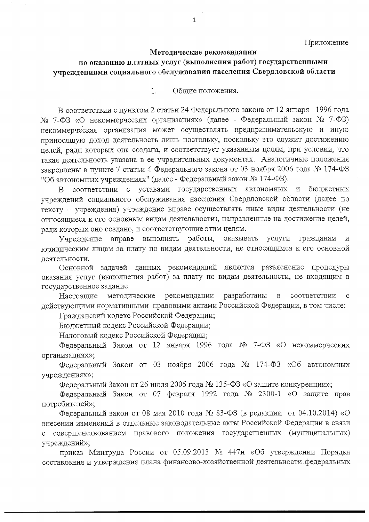### Методические рекомендации по оказанию платных услуг (выполнения работ) государственными учреждениями социального обслуживания населения Свердловской области

 $1_{-}$ Общие положения.

В соответствии с пунктом 2 статьи 24 Федерального закона от 12 января 1996 года № 7-ФЗ «О некоммерческих организациях» (далее - Федеральный закон № 7-ФЗ) некоммерческая организация может осуществлять предпринимательскую и иную приносящую доход деятельность лишь постольку, поскольку это служит достижению целей, ради которых она создана, и соответствует указанным целям, при условии, что такая деятельность указана в ее учредительных документах. Аналогичные положения закреплены в пункте 7 статьи 4 Федерального закона от 03 ноября 2006 года № 174-ФЗ "Об автономных учреждениях" (далее - Федеральный закон № 174-ФЗ).

соответствии с уставами государственных автономных и бюджетных B. учреждений социального обслуживания населения Свердловской области (далее по тексту - учреждения) учреждение вправе осуществлять иные виды деятельности (не относящиеся к его основным видам деятельности), направленные на достижение целей, ради которых оно создано, и соответствующие этим целям.

ВЫПОЛНЯТЬ работы, оказывать Учреждение вправе услуги гражданам  $\rm\,M$ юридическим лицам за плату по видам деятельности, не относящимся к его основной пеятельности.

Основной задачей данных рекомендаций является разъяснение процедуры оказания услуг (выполнения работ) за плату по видам деятельности, не входящим в государственное задание.

методические разработаны Настоящие рекомендации  $\, {\bf B}$ соответствии  $\mathbf C$ действующими нормативными правовыми актами Российской Федерации, в том числе:

Гражданский кодекс Российской Федерации;

Бюджетный кодекс Российской Федерации;

Налоговый кодекс Российской Федерации;

Федеральный Закон от 12 января 1996 года № 7-ФЗ «О некоммерческих организациях»;

Федеральный Закон от 03 ноября 2006 года № 174-ФЗ «Об автономных учреждениях»;

Федеральный Закон от 26 июля 2006 года № 135-ФЗ «О защите конкуренции»;

Федеральный Закон от 07 февраля 1992 года № 2300-1 «О защите прав потребителей»;

Федеральный закон от 08 мая 2010 года № 83-ФЗ (в редакции от 04.10.2014) «О внесении изменений в отдельные законодательные акты Российской Федерации в связи с совершенствованием правового положения государственных (муниципальных) учреждений»;

приказ Минтруда России от 05.09.2013 № 447н «Об утверждении Порядка составления и утверждения плана финансово-хозяйственной деятельности федеральных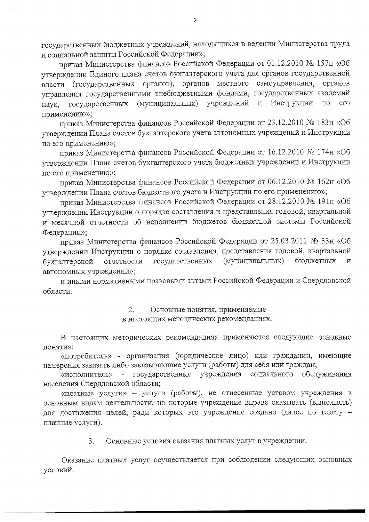государственных бюджетных учреждений, находящихся в ведении Министерства труда и социальной защиты Российской Федерации»;

приказ Министерства финансов Российской Федерации от 01.12.2010 № 157н «Об утверждении Единого плана счетов бухгалтерского учета для органов государственной власти (государственных органов), органов местного самоуправления, органов управления государственными внебюджетными фондами, государственных академий (муниципальных) учреждений и Инструкции  $\overline{110}$ ero государственных наук, применению»;

приказ Министерства финансов Российской Федерации от 23.12.2010 № 183н «Об утверждении Плана счетов бухгалтерского учета автономных учреждений и Инструкции по его применению»;

приказ Министерства финансов Российской Федерации от 16.12.2010 № 174н «Об утверждении Плана счетов бухгалтерского учета бюджетных учреждений и Инструкции по его применению»;

приказ Министерства финансов Российской Федерации от 06.12.2010 № 162н «Об утверждении Плана счетов бюджетного учета и Инструкции по его применению»;

приказ Министерства финансов Российской Федерации от 28.12.2010 № 191н «Об утверждении Инструкции о порядке составления и представления годовой, квартальной и месячной отчетности об исполнении бюджетов бюджетной системы Российской Федерации»;

приказ Министерства финансов Российской Федерации от 25.03.2011 № 33н «Об утверждении Инструкции о порядке составления, представления годовой, квартальной (муниципальных) бюджетных бухгалтерской отчетности государственных автономных учреждений»;

и иными нормативными правовыми актами Российской Федерации и Свердловской области.

> $2.$ Основные понятия, применяемые

в настоящих методических рекомендациях.

В настоящих методических рекомендациях применяются следующие основные понятия:

«потребитель» - организация (юридическое лицо) или гражданин, имеющие намерения заказать либо заказывающие услуги (работы) для себя или граждан;

- государственные учреждения социального обслуживания «исполнитель» населения Свердловской области;

«платные услуги» - услуги (работы), не отнесенные уставом учреждения к основным видам деятельности, но которые учреждение вправе оказывать (выполнять) для достижения целей, ради которых это учреждение создано (далее по тексту платные услуги).

> 3. Основные условия оказания платных услуг в учреждении.

Оказание платных услуг осуществляется при соблюдении следующих основных условий: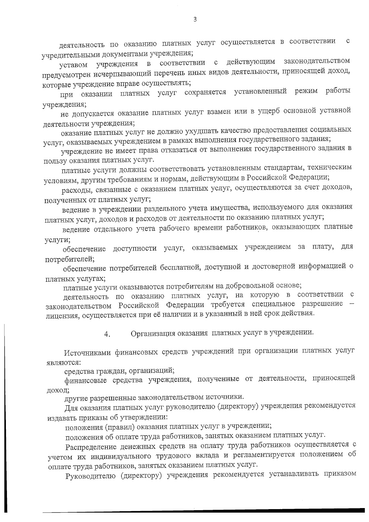деятельность по оказанию платных услуг осуществляется в соответствии  $\mathbf C$ учредительными документами учреждения;

уставом учреждения в соответствии с действующим законодательством предусмотрен исчерпывающий перечень иных видов деятельности, приносящей доход, которые учреждение вправе осуществлять;

при оказании платных услуг сохраняется установленный режим работы учреждения;

не допускается оказание платных услуг взамен или в ущерб основной уставной деятельности учреждения;

оказание платных услуг не должно ухудшать качество предоставления социальных услуг, оказываемых учреждением в рамках выполнения государственного задания;

учреждение не имеет права отказаться от выполнения государственного задания в пользу оказания платных услуг.

платные услуги должны соответствовать установленным стандартам, техническим условиям, другим требованиям и нормам, действующим в Российской Федерации;

расходы, связанные с оказанием платных услуг, осуществляются за счет доходов, полученных от платных услуг;

ведение в учреждении раздельного учета имущества, используемого для оказания платных услуг, доходов и расходов от деятельности по оказанию платных услуг;

ведение отдельного учета рабочего времени работников, оказывающих платные услуги;

обеспечение доступности услуг, оказываемых учреждением за плату, для потребителей;

обеспечение потребителей бесплатной, доступной и достоверной информацией о платных услугах;

платные услуги оказываются потребителям на добровольной основе;

деятельность по оказанию платных услуг, на которую в соответствии с законодательством Российской Федерации требуется специальное разрешение лицензия, осуществляется при её наличии и в указанный в ней срок действия.

> Организация оказания платных услуг в учреждении. 4.

Источниками финансовых средств учреждений при организации платных услуг : котонкция

средства граждан, организаций;

финансовые средства учреждения, полученные от деятельности, приносящей доход;

другие разрешенные законодательством источники.

Для оказания платных услуг руководителю (директору) учреждения рекомендуется издавать приказы об утверждении:

положения (правил) оказания платных услуг в учреждении;

положения об оплате труда работников, занятых оказанием платных услуг.

Распределение денежных средств на оплату труда работников осуществляется с учетом их индивидуального трудового вклада и регламентируется положением об оплате труда работников, занятых оказанием платных услуг.

Руководителю (директору) учреждения рекомендуется устанавливать приказом

3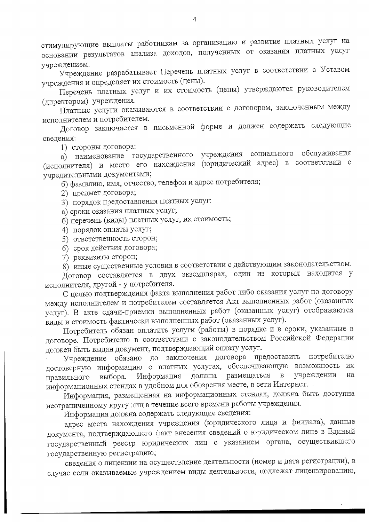стимулирующие выплаты работникам за организацию и развитие платных услуг на основании результатов анализа доходов, полученных от оказания платных услуг учреждением.

Учреждение разрабатывает Перечень платных услуг в соответствии с Уставом учреждения и определяет их стоимость (цены).

Перечень платных услуг и их стоимость (цены) утверждаются руководителем (директором) учреждения.

Платные услуги оказываются в соответствии с договором, заключенным между исполнителем и потребителем.

Договор заключается в письменной форме и должен содержать следующие сведения:

1) стороны договора:

а) наименование государственного учреждения социального обслуживания (исполнителя) и место его нахождения (юридический адрес) в соответствии с учредительными документами;

б) фамилию, имя, отчество, телефон и адрес потребителя;

2) предмет договора;

3) порядок предоставления платных услуг:

а) сроки оказания платных услуг;

б) перечень (виды) платных услуг, их стоимость;

- 4) порядок оплаты услуг;
- 5) ответственность сторон;
- 6) срок действия договора;
- 7) реквизиты сторон;

8) иные существенные условия в соответствии с действующим законодательством.

Договор составляется в двух экземплярах, один из которых находится у исполнителя, другой - у потребителя.

С целью подтверждения факта выполнения работ либо оказания услуг по договору между исполнителем и потребителем составляется Акт выполненных работ (оказанных услуг). В акте сдачи-приемки выполненных работ (оказанных услуг) отображаются виды и стоимость фактически выполненных работ (оказанных услуг).

Потребитель обязан оплатить услуги (работы) в порядке и в сроки, указанные в договоре. Потребителю в соответствии с законодательством Российской Федерации должен быть выдан документ, подтверждающий оплату услуг.

Учреждение обязано до заключения договора предоставить потребителю достоверную информацию о платных услугах, обеспечивающую возможность их Информация должна размещаться  $\, {\bf B}$ учреждении на выбора. правильного информационных стендах в удобном для обозрения месте, в сети Интернет.

Информация, размещенная на информационных стендах, должна быть доступна неограниченному кругу лиц в течение всего времени работы учреждения.

Информация должна содержать следующие сведения:

адрес места нахождения учреждения (юридического лица и филиала), данные документа, подтверждающего факт внесения сведений о юридическом лице в Единый государственный реестр юридических лиц с указанием органа, осуществившего государственную регистрацию;

сведения о лицензии на осуществление деятельности (номер и дата регистрации), в случае если оказываемые учреждением виды деятельности, подлежат лицензированию,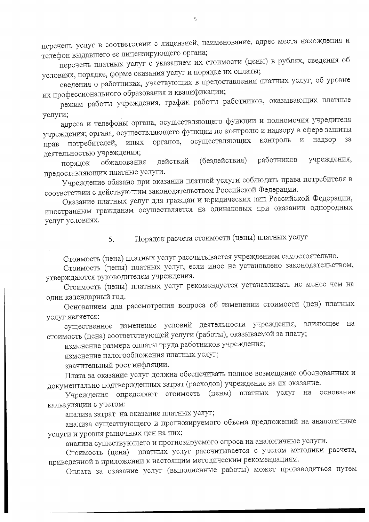перечень услуг в соответствии с лицензией, наименование, адрес места нахождения и телефон выдавшего ее лицензирующего органа;

перечень платных услуг с указанием их стоимости (цены) в рублях, сведения об условиях, порядке, форме оказания услуг и порядке их оплаты;

сведения о работниках, участвующих в предоставлении платных услуг, об уровне их профессионального образования и квалификации;

режим работы учреждения, график работы работников, оказывающих платные услуги;

адреса и телефоны органа, осуществляющего функции и полномочия учредителя учреждения; органа, осуществляющего функции по контролю и надзору в сфере защиты прав потребителей, иных органов, осуществляющих контроль и надзор за деятельностью учреждения;

работников учреждения, (бездействия) действий обжалования порядок предоставляющих платные услуги.

Учреждение обязано при оказании платной услуги соблюдать права потребителя в соответствии с действующим законодательством Российской Федерации.

Оказание платных услуг для граждан и юридических лиц Российской Федерации, иностранным гражданам осуществляется на одинаковых при оказании однородных услуг условиях.

> Порядок расчета стоимости (цены) платных услуг 5.

Стоимость (цена) платных услуг рассчитывается учреждением самостоятельно.

Стоимость (цены) платных услуг, если иное не установлено законодательством, утверждаются руководителем учреждения.

Стоимость (цены) платных услуг рекомендуется устанавливать не менее чем на один календарный год.

Основанием для рассмотрения вопроса об изменении стоимости (цен) платных услуг является:

существенное изменение условий деятельности учреждения, влияющее на стоимость (цена) соответствующей услуги (работы), оказываемой за плату;

изменение размера оплаты труда работников учреждения;

изменение налогообложения платных услуг;

значительный рост инфляции.

Плата за оказание услуг должна обеспечивать полное возмещение обоснованных и документально подтвержденных затрат (расходов) учреждения на их оказание.

Учреждения определяют стоимость (цены) платных услуг на основании калькуляции с учетом:

анализа затрат на оказание платных услуг;

анализа существующего и прогнозируемого объема предложений на аналогичные услуги и уровня рыночных цен на них;

анализа существующего и прогнозируемого спроса на аналогичные услуги.

Стоимость (цена) платных услуг рассчитывается с учетом методики расчета, приведенной в приложении к настоящим методическим рекомендациям.

Оплата за оказание услуг (выполненные работы) может производиться путем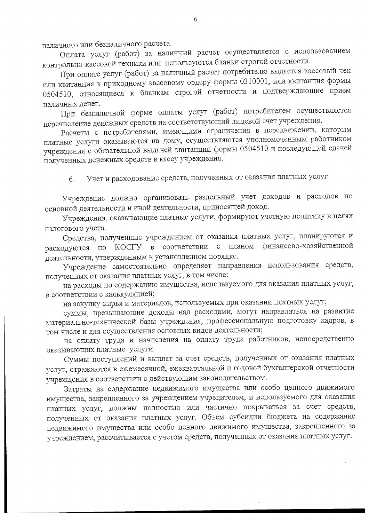наличного или безналичного расчета.

Оплата услуг (работ) за наличный расчет осуществляется с использованием контрольно-кассовой техники или используются бланки строгой отчетности.

При оплате услуг (работ) за наличный расчет потребителю выдается кассовый чек или квитанция к приходному кассовому ордеру формы 0310001, или квитанция формы 0504510, относящиеся к бланкам строгой отчетности и подтверждающие прием наличных денег.

При безналичной форме оплаты услуг (работ) потребителем осуществляется перечисление денежных средств на соответствующий лицевой счет учреждения.

Расчеты с потребителями, имеющими ограничения в передвижении, которым платные услуги оказываются на дому, осуществляются уполномоченным работником учреждения с обязательной выдачей квитанции формы 0504510 и последующей сдачей полученных денежных средств в кассу учреждения.

Учет и расходование средств, полученных от оказания платных услуг 6.

Учреждение должно организовать раздельный учет доходов и расходов по основной деятельности и иной деятельности, приносящей доход.

Учреждения, оказывающие платные услуги, формируют учетную политику в целях налогового учета.

Средства, полученные учреждением от оказания платных услуг, планируются и расходуются по КОСГУ в соответствии с планом финансово-хозяйственной деятельности, утвержденным в установленном порядке.

Учреждение самостоятельно определяет направления использования средств, полученных от оказания платных услуг, в том числе:

на расходы по содержанию имущества, используемого для оказания платных услуг, в соответствии с калькуляцией;

на закупку сырья и материалов, используемых при оказании платных услуг;

суммы, превышающие доходы над расходами, могут направляться на развитие материально-технической базы учреждения, профессиональную подготовку кадров, в том числе и для осуществления основных видов деятельности;

на оплату труда и начисления на оплату труда работников, непосредственно оказывающих платные услуги.

Суммы поступлений и выплат за счет средств, полученных от оказания платных услуг, отражаются в ежемесячной, ежеквартальной и годовой бухгалтерской отчетности учреждения в соответствии с действующим законодательством.

Затраты на содержание недвижимого имущества или особо ценного движимого имущества, закрепленного за учреждением учредителем, и используемого для оказания платных услуг, должны полностью или частично покрываться за счет средств, полученных от оказания платных услуг. Объем субсидии бюджета на содержание недвижимого имущества или особо ценного движимого имущества, закрепленного за учреждением, рассчитывается с учетом средств, полученных от оказания платных услуг.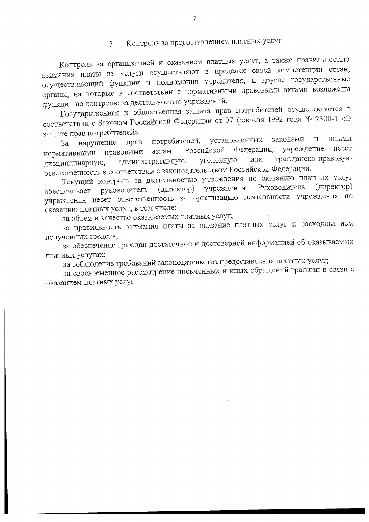#### Контроль за предоставлением платных услуг  $7_{\odot}$

Контроль за организацией и оказанием платных услуг, а также правильностью взимания платы за услуги осуществляют в пределах своей компетенции орган, осуществляющий функции и полномочия учредителя, и другие государственные органы, на которые в соответствии с нормативными правовыми актами возложены функции по контролю за деятельностью учреждений.

Государственная и общественная защита прав потребителей осуществляется в соответствии с Законом Российской Федерации от 07 февраля 1992 года № 2300-1 «О защите прав потребителей».

установленных потребителей, законами  $\rm\,M$ ИНЫМИ нарушение прав 3a несет Федерации, учреждение актами Российской правовыми нормативными гражданско-правовую уголовную или административную, дисциплинарную, ответственность в соответствии с законодательством Российской Федерации.

Текущий контроль за деятельностью учреждения по оказанию платных услуг учреждения. Руководитель (директор) (директор) руководитель обеспечивает учреждения несет ответственность за организацию деятельности учреждения по оказанию платных услуг, в том числе:

за объем и качество оказываемых платных услуг;

за правильность взимания платы за оказание платных услуг и расходованием полученных средств;

за обеспечение граждан достаточной и достоверной информацией об оказываемых платных услугах;

за соблюдение требований законодательства предоставления платных услуг;

за своевременное рассмотрение письменных и иных обращений граждан в связи с оказанием платных услуг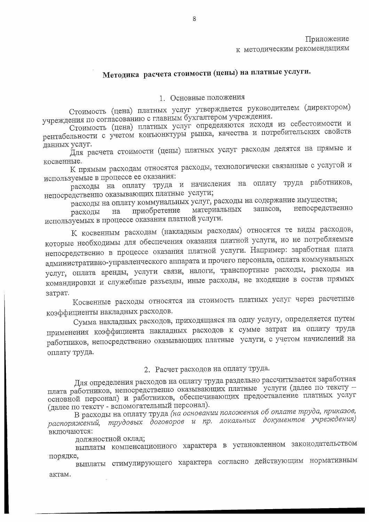## Методика расчета стоимости (цены) на платные услуги.

### 1. Основные положения

Стоимость (цена) платных услуг утверждается руководителем (директором) учреждения по согласованию с главным бухгалтером учреждения.

Стоимость (цена) платных услуг определяются исходя из себестоимости и рентабельности с учетом конъюнктуры рынка, качества и потребительских свойств данных услуг.

Для расчета стоимости (цены) платных услуг расходы делятся на прямые и косвенные.

К прямым расходам относятся расходы, технологически связанные с услугой и используемые в процессе ее оказания:

расходы на оплату труда и начисления на оплату труда работников, непосредственно оказывающих платные услуги;

расходы на оплату коммунальных услуг, расходы на содержание имущества;

непосредственно запасов, приобретение материальных расходы на используемых в процессе оказания платной услуги.

К косвенным расходам (накладным расходам) относятся те виды расходов, которые необходимы для обеспечения оказания платной услуги, но не потребляемые непосредственно в процессе оказания платной услуги. Например: заработная плата административно-управленческого аппарата и прочего персонала, оплата коммунальных услуг, оплата аренды, услуги связи, налоги, транспортные расходы, расходы на командировки и служебные разъезды, иные расходы, не входящие в состав прямых затрат.

Косвенные расходы относятся на стоимость платных услуг через расчетные коэффициенты накладных расходов.

Сумма накладных расходов, приходящаяся на одну услугу, определяется путем применения коэффициента накладных расходов к сумме затрат на оплату труда работников, непосредственно оказывающих платные услуги, с учетом начислений на оплату труда.

### 2. Расчет расходов на оплату труда.

Для определения расходов на оплату труда раздельно рассчитывается заработная плата работников, непосредственно оказывающих платные услуги (далее по тексту основной персонал) и работников, обеспечивающих предоставление платных услуг (далее по тексту - вспомогательный персонал).

В расходы на оплату труда (на основании положения об оплате труда, приказов, распоряжений, трудовых договоров и пр. локальных документов учреждения) включаются:

должностной оклад;

выплаты компенсационного характера в установленном законодательством порядке,

выплаты стимулирующего характера согласно действующим нормативным актам.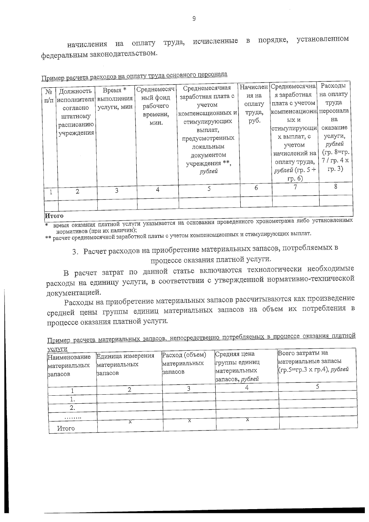установленном труда, исчисленные в порядке, оплату начисления на федеральным законодательством.

| No        | Должность   | Время *     | Среднемесяч | Среднемесячная                 |        | Начислен  Среднемесячна  | <b>Гасходы</b> |
|-----------|-------------|-------------|-------------|--------------------------------|--------|--------------------------|----------------|
|           | исполнителя | выполнения  | ный фонд    | заработная плата с             | ия на  | я заработная             | на оплату      |
| $\Pi/\Pi$ |             | услуги, мин | рабочего    | учетом                         | оплату | плата с учетом           | труда          |
|           | согласно    |             | времени,    | компенсационных и <sub> </sub> | труда, | компенсационн  персонала |                |
|           | штатному    |             | мин.        | стимулирующих                  | руб.   | ых и                     | на             |
|           | расписанию  |             |             | выплат,                        |        | стимулирующи             | оказание       |
|           | учреждения  |             |             | предусмотренных                |        | х выплат, с              | услуги,        |
|           |             |             |             |                                |        | учетом                   | рублей         |
|           |             |             |             | локальным                      |        | начислений на            | (гр. 8=гр.     |
|           |             |             |             | документом                     |        |                          | 7/rp.4x        |
|           |             |             |             | учреждения **,                 |        | оплату труда,            |                |
|           |             |             |             | рублей                         |        | <i>рублей</i> (гр. 5 +   | rp.3)          |
|           |             |             |             |                                |        | rp.6                     |                |
|           | 2           | ζ           | 4           | 5                              | 6      |                          | 8              |
|           |             |             |             |                                |        |                          |                |
|           |             |             |             |                                |        |                          |                |
|           |             |             |             |                                |        |                          |                |

|  | Пример расчета расходов на оплату труда основного персонала |
|--|-------------------------------------------------------------|
|  |                                                             |

Итого

время оказания платной услуги указывается на основании проведенного хронометража либо установленных нормативов (при их наличии);

3. Расчет расходов на приобретение материальных запасов, потребляемых в

процессе оказания платной услуги.

В расчет затрат по данной статье включаются технологически необходимые расходы на единицу услуги, в соответствии с утвержденной нормативно-технической документацией.

Расходы на приобретение материальных запасов рассчитываются как произведение средней цены группы единиц материальных запасов на объем их потребления в процессе оказания платной услуги.

Пример расчета материальных запасов, непосредственно потребляемых в процессе оказания платной

| <u>үслүги</u> |                   |                |                 | Всего затраты на           |
|---------------|-------------------|----------------|-----------------|----------------------------|
| Наименование  | Единица измерения | Расход (объем) | Средняя цена    |                            |
| материальных  | материальных      | материальных   | группы единиц   | материальные запасы        |
|               | запасов           | запасов        | материальных    | (гр.5=гр.3 х гр.4), рублей |
| запасов       |                   |                | запасов, рублей |                            |
|               |                   |                |                 |                            |
|               |                   |                |                 |                            |
| ٠.            |                   |                |                 |                            |
|               |                   |                |                 |                            |
|               |                   |                |                 |                            |
| Итого         |                   |                |                 |                            |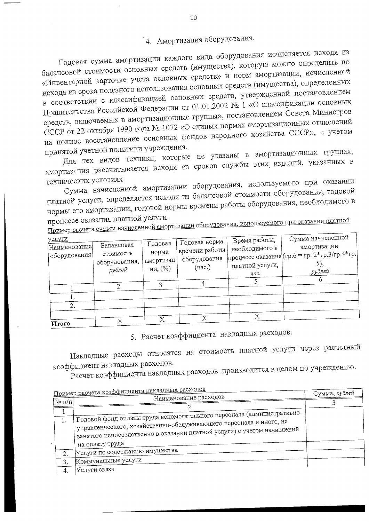# 4. Амортизация оборудования.

Годовая сумма амортизации каждого вида оборудования исчисляется исходя из балансовой стоимости основных средств (имущества), которую можно определить по «Инвентарной карточке учета основных средств» и норм амортизации, исчисленной исходя из срока полезного использования основных средств (имущества), определенных в соответствии с классификацией основных средств, утвержденной постановлением Правительства Российской Федерации от 01.01.2002 № 1 «О классификации основных средств, включаемых в амортизационные группы», постановлением Совета Министров СССР от 22 октября 1990 года № 1072 «О единых нормах амортизационных отчислений на полное восстановление основных фондов народного хозяйства СССР», с учетом принятой учетной политики учреждения.

Для тех видов техники, которые не указаны в амортизационных группах, амортизация рассчитывается исходя из сроков службы этих изделий, указанных в технических условиях.

Сумма начисленной амортизации оборудования, используемого при оказании платной услуги, определяется исходя из балансовой стоимости оборудования, годовой нормы его амортизации, годовой нормы времени работы оборудования, необходимого в процессе оказания платной услуги.

Пример расчета суммы начисленной амортизации оборудования, используемого при оказании платной

| <u>услуги</u><br> Наименование <br>! оборудования | Балансовая<br>стоимость<br>оборудования,<br>рублей | Годовая<br>норма<br>амортизац<br>ии, (%) | Годовая норма<br>времени работы<br>оборудования<br>(час.) | Время работы,<br>необходимого в<br>платной услуги,<br>час. | Сумма начисленной<br>амортизации<br>  процессе оказания (гр. 6 = гр. 2* гр. 3/ гр. 4* гр.)<br>рублей |
|---------------------------------------------------|----------------------------------------------------|------------------------------------------|-----------------------------------------------------------|------------------------------------------------------------|------------------------------------------------------------------------------------------------------|
|                                                   |                                                    |                                          |                                                           |                                                            |                                                                                                      |
| Итого                                             |                                                    | Χ                                        |                                                           |                                                            |                                                                                                      |

5. Расчет коэффициента накладных расходов.

Накладные расходы относятся на стоимость платной услуги через расчетный коэффициент накладных расходов.

Расчет коэффициента накладных расходов производится в целом по учреждению.

|        | Пример расчета коэффициента накладных расходов                                                                                                                                                                                             | Сумма, рублей |
|--------|--------------------------------------------------------------------------------------------------------------------------------------------------------------------------------------------------------------------------------------------|---------------|
| Nº π/π | Наименование расходов                                                                                                                                                                                                                      |               |
|        |                                                                                                                                                                                                                                            |               |
| 1.     | Годовой фонд оплаты труда вспомогательного персонала (административно-<br>управленческого, хозяйственно-обслуживающего персонала и иного, не<br>занятого непосредственно в оказании платной услуги) с учетом начислений<br>на оплату труда |               |
|        | Услуги по содержанию имущества                                                                                                                                                                                                             |               |
| 3.     | Коммунальные услуги                                                                                                                                                                                                                        |               |
| 4.     | Услуги связи                                                                                                                                                                                                                               |               |